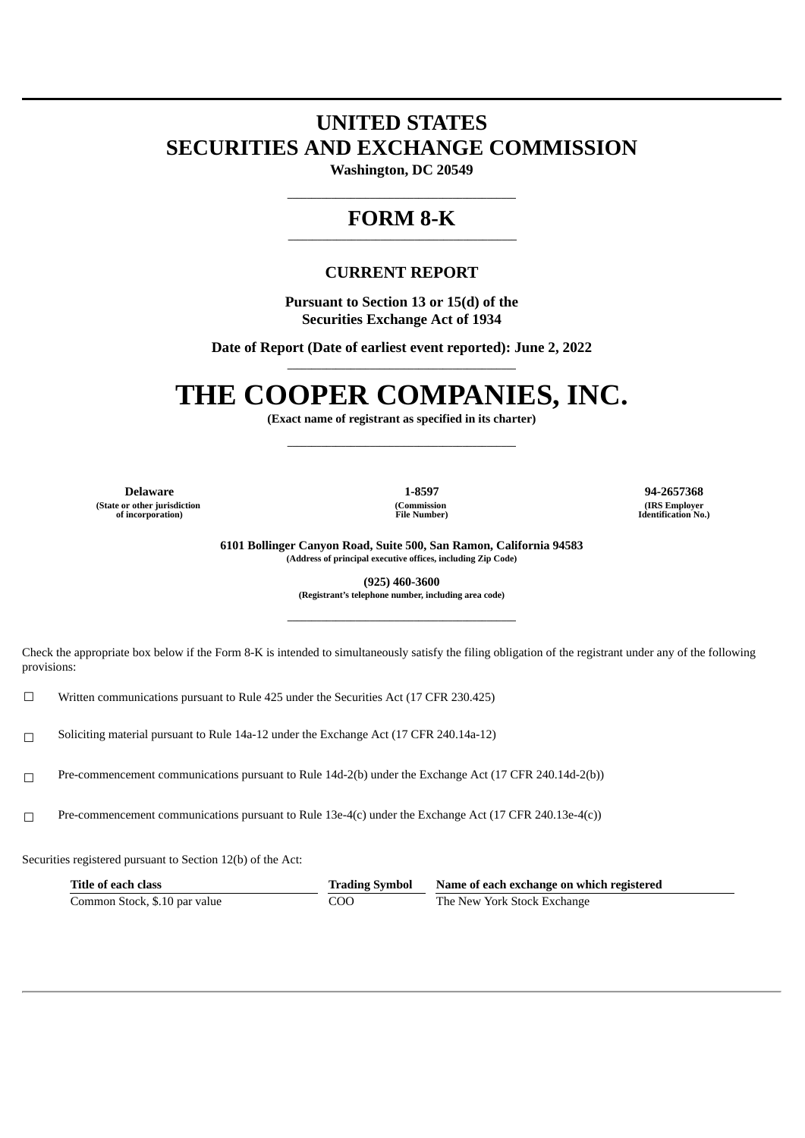# **UNITED STATES SECURITIES AND EXCHANGE COMMISSION**

**Washington, DC 20549 \_\_\_\_\_\_\_\_\_\_\_\_\_\_\_\_\_\_\_\_\_\_\_\_\_\_\_\_\_\_\_\_\_\_\_\_\_\_\_\_\_\_\_\_\_\_\_**

# **FORM 8-K \_\_\_\_\_\_\_\_\_\_\_\_\_\_\_\_\_\_\_\_\_\_\_\_\_\_\_\_\_\_\_\_\_\_\_\_\_\_\_\_\_\_\_\_\_\_\_**

# **CURRENT REPORT**

**Pursuant to Section 13 or 15(d) of the Securities Exchange Act of 1934**

**Date of Report (Date of earliest event reported): June 2, 2022 \_\_\_\_\_\_\_\_\_\_\_\_\_\_\_\_\_\_\_\_\_\_\_\_\_\_\_\_\_\_\_\_\_\_\_\_\_\_\_\_\_\_\_\_\_\_\_**

# **THE COOPER COMPANIES, INC.**

**(Exact name of registrant as specified in its charter) \_\_\_\_\_\_\_\_\_\_\_\_\_\_\_\_\_\_\_\_\_\_\_\_\_\_\_\_\_\_\_\_\_\_\_\_\_\_\_\_\_\_\_\_\_\_\_**

**Delaware 1-8597 94-2657368 (State or other jurisdiction of incorporation)**

**(Commission File Number)** **(IRS Employer Identification No.)**

**6101 Bollinger Canyon Road, Suite 500, San Ramon, California 94583 (Address of principal executive offices, including Zip Code)**

**(925) 460-3600**

**(Registrant's telephone number, including area code) \_\_\_\_\_\_\_\_\_\_\_\_\_\_\_\_\_\_\_\_\_\_\_\_\_\_\_\_\_\_\_\_\_\_\_\_\_\_\_\_\_\_\_\_\_\_\_**

Check the appropriate box below if the Form 8-K is intended to simultaneously satisfy the filing obligation of the registrant under any of the following provisions:

 $\Box$  Written communications pursuant to Rule 425 under the Securities Act (17 CFR 230.425)

☐ Soliciting material pursuant to Rule 14a-12 under the Exchange Act (17 CFR 240.14a-12)

☐ Pre-commencement communications pursuant to Rule 14d-2(b) under the Exchange Act (17 CFR 240.14d-2(b))

☐ Pre-commencement communications pursuant to Rule 13e-4(c) under the Exchange Act (17 CFR 240.13e-4(c))

Securities registered pursuant to Section 12(b) of the Act:

| Title of each class           | <b>Trading Symbol</b> | Name of each exchange on which registered |
|-------------------------------|-----------------------|-------------------------------------------|
| Common Stock, \$.10 par value | COO                   | The New York Stock Exchange               |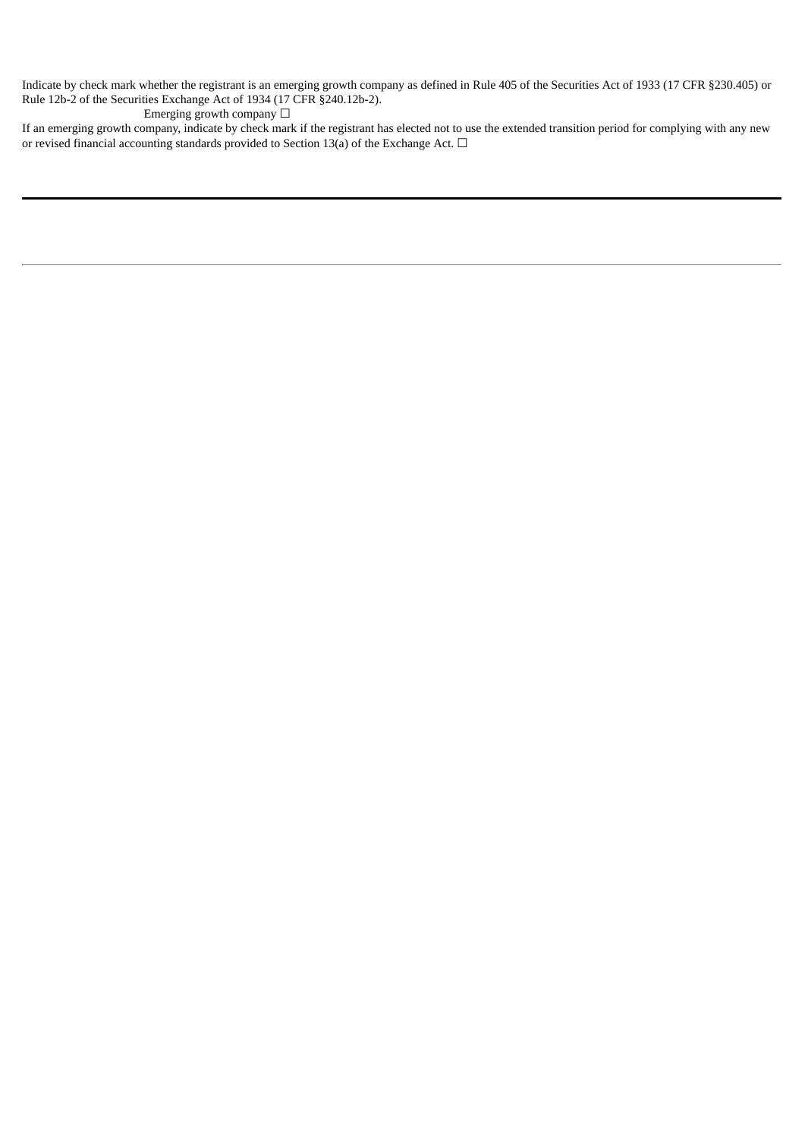Indicate by check mark whether the registrant is an emerging growth company as defined in Rule 405 of the Securities Act of 1933 (17 CFR §230.405) or Rule 12b-2 of the Securities Exchange Act of 1934 (17 CFR §240.12b-2).

Emerging growth company  $\Box$ 

If an emerging growth company, indicate by check mark if the registrant has elected not to use the extended transition period for complying with any new or revised financial accounting standards provided to Section 13(a) of the Exchange Act.  $\Box$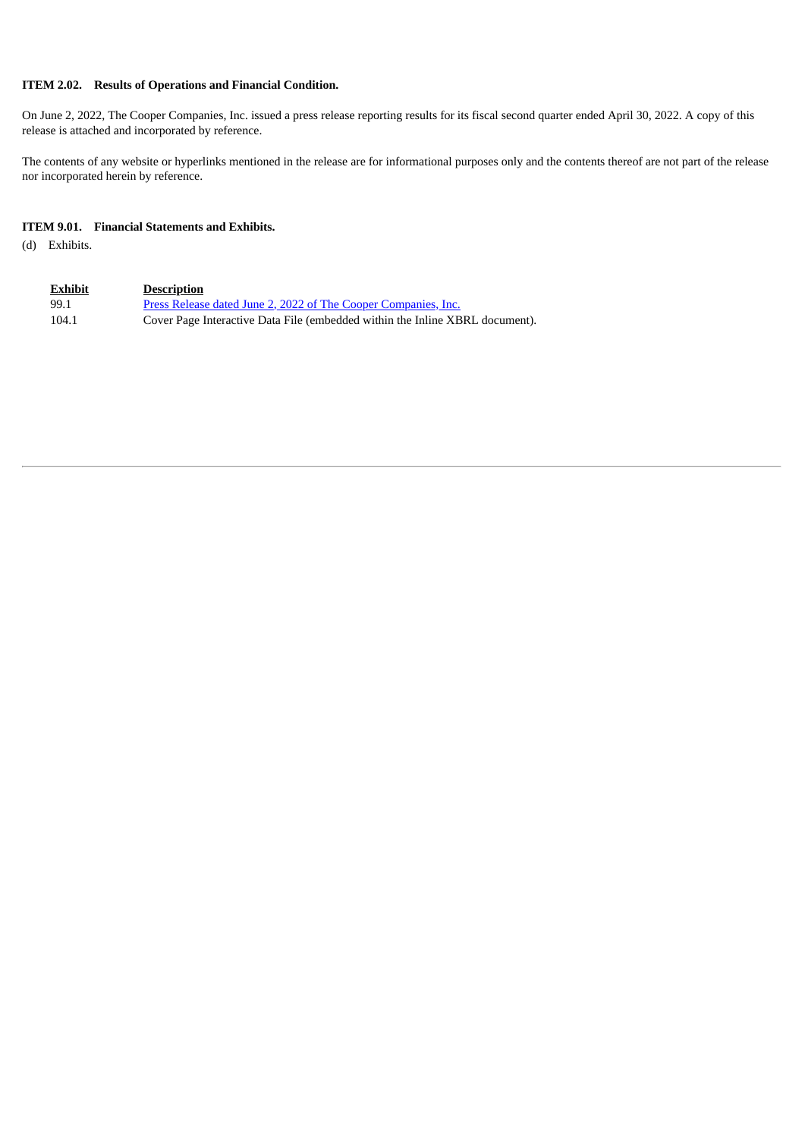# **ITEM 2.02. Results of Operations and Financial Condition.**

On June 2, 2022, The Cooper Companies, Inc. issued a press release reporting results for its fiscal second quarter ended April 30, 2022. A copy of this release is attached and incorporated by reference.

The contents of any website or hyperlinks mentioned in the release are for informational purposes only and the contents thereof are not part of the release nor incorporated herein by reference.

#### **ITEM 9.01. Financial Statements and Exhibits.**

(d) Exhibits.

| Exhibit | <b>Description</b>                                                           |
|---------|------------------------------------------------------------------------------|
| 99.1    | Press Release dated June 2, 2022 of The Cooper Companies, Inc.               |
| 104.1   | Cover Page Interactive Data File (embedded within the Inline XBRL document). |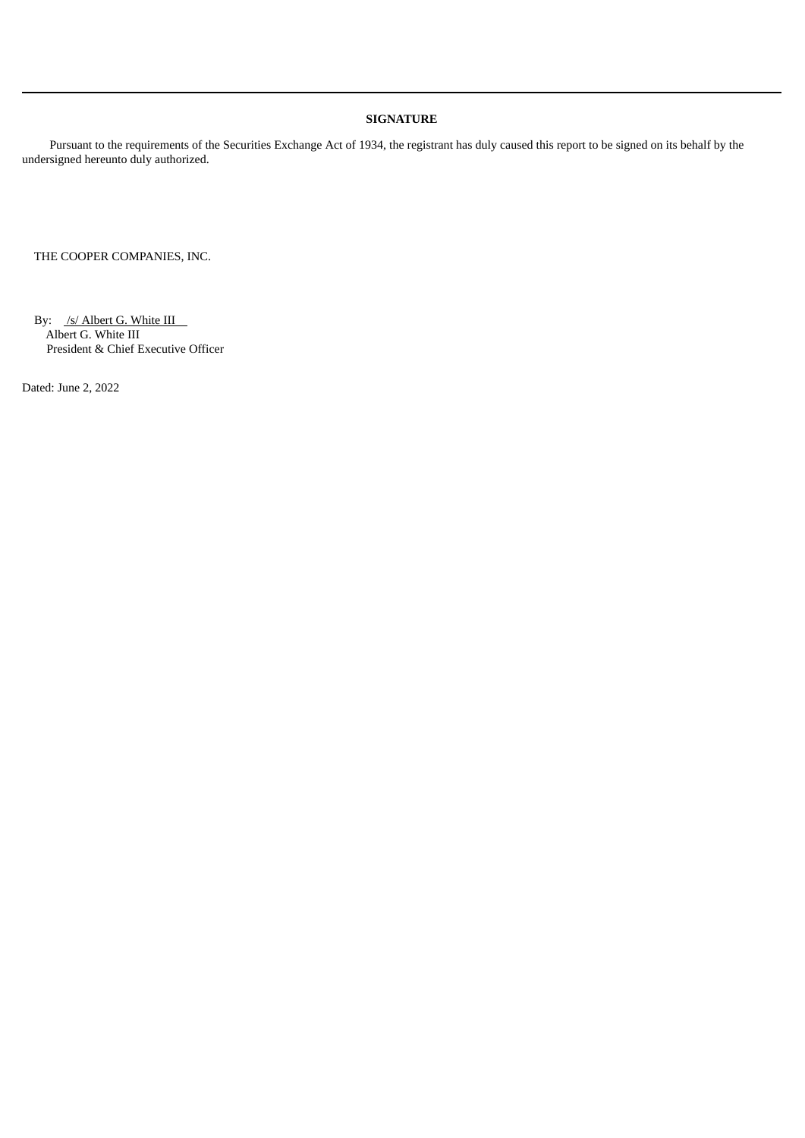#### **SIGNATURE**

Pursuant to the requirements of the Securities Exchange Act of 1934, the registrant has duly caused this report to be signed on its behalf by the undersigned hereunto duly authorized.

THE COOPER COMPANIES, INC.

By: /s/ Albert G. White III Albert G. White III President & Chief Executive Officer

Dated: June 2, 2022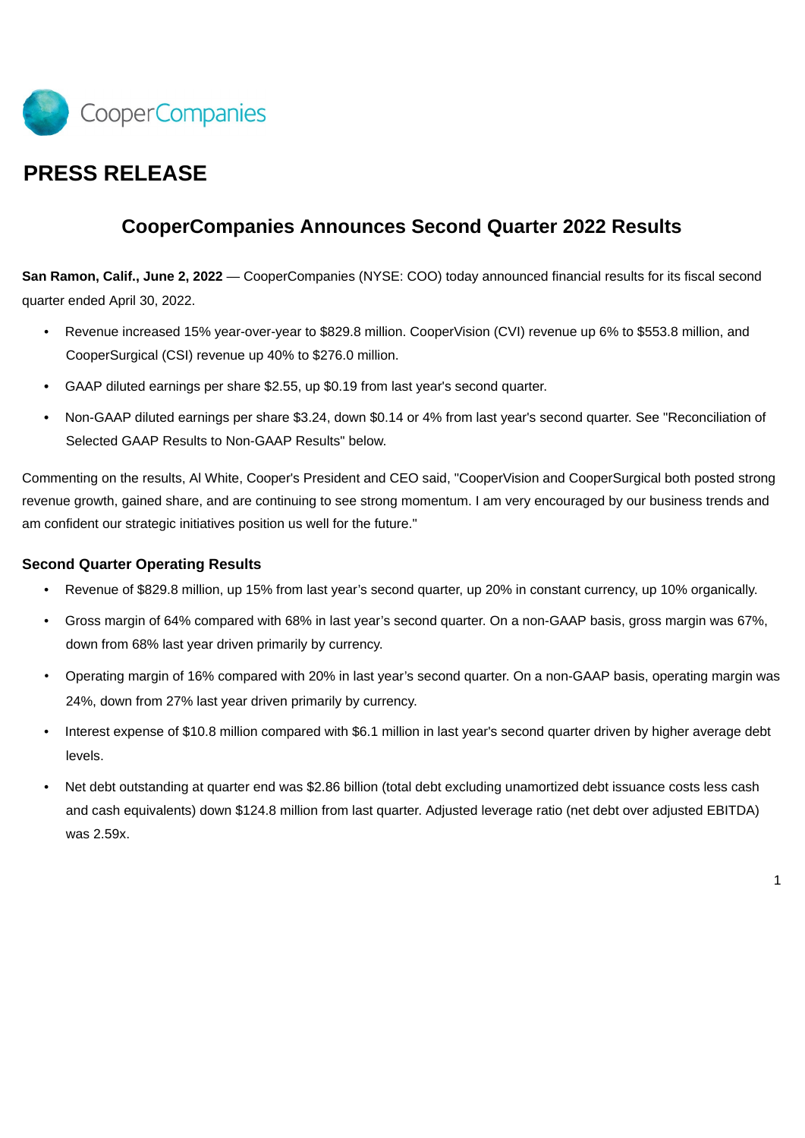<span id="page-4-0"></span>

# **PRESS RELEASE**

# **CooperCompanies Announces Second Quarter 2022 Results**

**San Ramon, Calif., June 2, 2022** — CooperCompanies (NYSE: COO) today announced financial results for its fiscal second quarter ended April 30, 2022.

- Revenue increased 15% year-over-year to \$829.8 million. CooperVision (CVI) revenue up 6% to \$553.8 million, and CooperSurgical (CSI) revenue up 40% to \$276.0 million.
- **•** GAAP diluted earnings per share \$2.55, up \$0.19 from last year's second quarter.
- **•** Non-GAAP diluted earnings per share \$3.24, down \$0.14 or 4% from last year's second quarter. See "Reconciliation of Selected GAAP Results to Non-GAAP Results" below.

Commenting on the results, Al White, Cooper's President and CEO said, "CooperVision and CooperSurgical both posted strong revenue growth, gained share, and are continuing to see strong momentum. I am very encouraged by our business trends and am confident our strategic initiatives position us well for the future."

# **Second Quarter Operating Results**

- Revenue of \$829.8 million, up 15% from last year's second quarter, up 20% in constant currency, up 10% organically.
- Gross margin of 64% compared with 68% in last year's second quarter. On a non-GAAP basis, gross margin was 67%, down from 68% last year driven primarily by currency.
- Operating margin of 16% compared with 20% in last year's second quarter. On a non-GAAP basis, operating margin was 24%, down from 27% last year driven primarily by currency.
- Interest expense of \$10.8 million compared with \$6.1 million in last year's second quarter driven by higher average debt levels.
- Net debt outstanding at quarter end was \$2.86 billion (total debt excluding unamortized debt issuance costs less cash and cash equivalents) down \$124.8 million from last quarter. Adjusted leverage ratio (net debt over adjusted EBITDA) was 2.59x.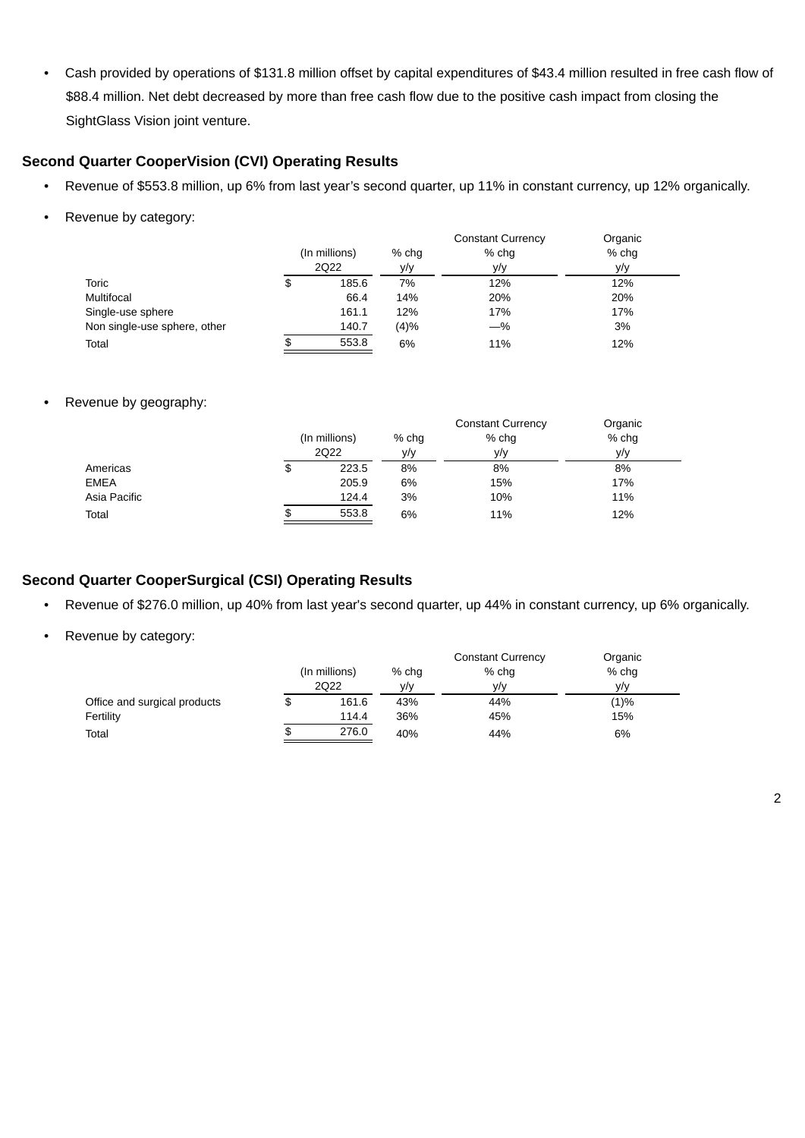• Cash provided by operations of \$131.8 million offset by capital expenditures of \$43.4 million resulted in free cash flow of \$88.4 million. Net debt decreased by more than free cash flow due to the positive cash impact from closing the SightGlass Vision joint venture.

# **Second Quarter CooperVision (CVI) Operating Results**

- Revenue of \$553.8 million, up 6% from last year's second quarter, up 11% in constant currency, up 12% organically.
- Revenue by category:

|                              |     |               |      | <b>Constant Currency</b> | Organic |  |
|------------------------------|-----|---------------|------|--------------------------|---------|--|
|                              |     | (In millions) |      | $%$ chg                  | $%$ chg |  |
|                              |     | 2022          | y/y  | y/y                      | y/y     |  |
| Toric                        | \$  | 185.6         | 7%   | 12%                      | 12%     |  |
| Multifocal                   |     | 66.4          | 14%  | 20%                      | 20%     |  |
| Single-use sphere            |     | 161.1         | 12%  | 17%                      | 17%     |  |
| Non single-use sphere, other |     | 140.7         | (4)% | $-$ %                    | 3%      |  |
| Total                        | \$. | 553.8         | 6%   | 11%                      | 12%     |  |

### **•** Revenue by geography:

|              | (In millions) |       | $%$ chg | <b>Constant Currency</b><br>$%$ chg | Organic<br>% chg |
|--------------|---------------|-------|---------|-------------------------------------|------------------|
|              | 2022          |       | y/y     | y/y                                 | y/y              |
| Americas     | \$            | 223.5 | 8%      | 8%                                  | 8%               |
| <b>EMEA</b>  |               | 205.9 | 6%      | 15%                                 | 17%              |
| Asia Pacific |               | 124.4 | 3%      | 10%                                 | 11%              |
| Total        | \$            | 553.8 | 6%      | 11%                                 | 12%              |

# **Second Quarter CooperSurgical (CSI) Operating Results**

- Revenue of \$276.0 million, up 40% from last year's second quarter, up 44% in constant currency, up 6% organically.
- Revenue by category:

|                              |               |         | <b>Constant Currency</b> | Organic |  |
|------------------------------|---------------|---------|--------------------------|---------|--|
|                              | (In millions) | $%$ chg | $%$ chg                  | $%$ chg |  |
|                              | 2022          | y/y     | ۷/۷                      | V/V     |  |
| Office and surgical products | \$<br>161.6   | 43%     | 44%                      | (1)%    |  |
| Fertility                    | 114.4         | 36%     | 45%                      | 15%     |  |
| Total                        | \$<br>276.0   | 40%     | 44%                      | 6%      |  |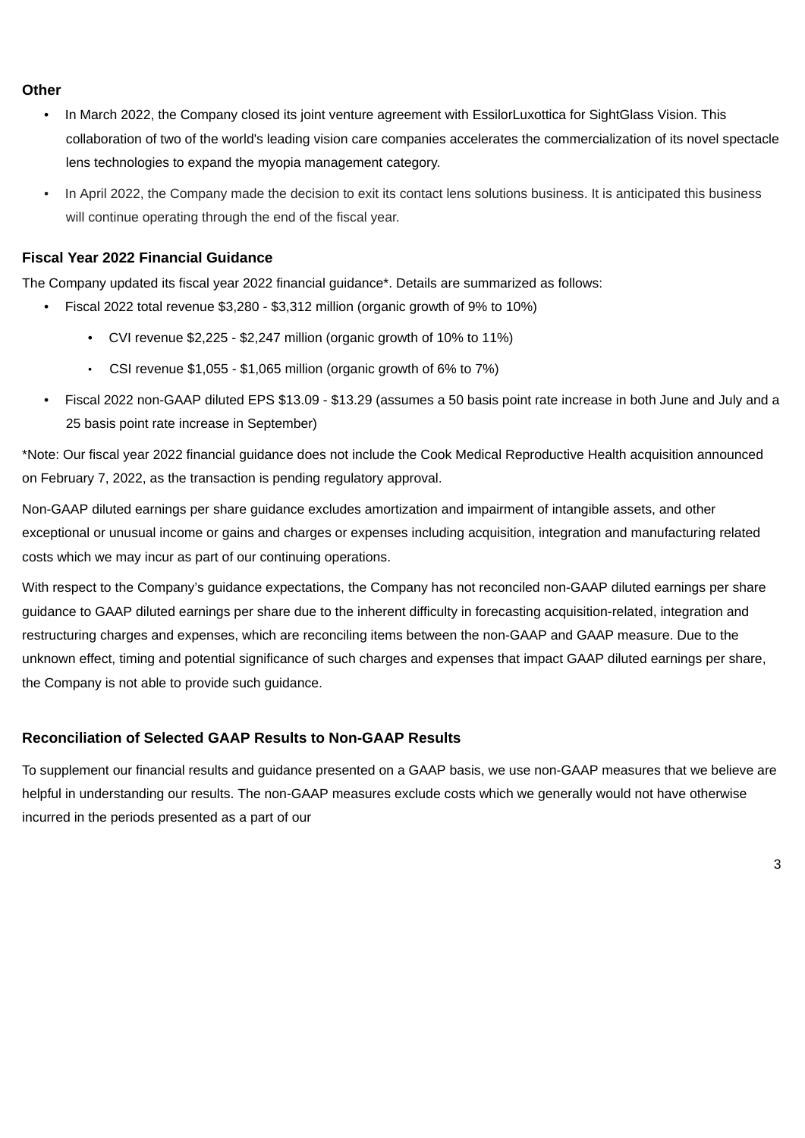## **Other**

- In March 2022, the Company closed its joint venture agreement with EssilorLuxottica for SightGlass Vision. This collaboration of two of the world's leading vision care companies accelerates the commercialization of its novel spectacle lens technologies to expand the myopia management category.
- In April 2022, the Company made the decision to exit its contact lens solutions business. It is anticipated this business will continue operating through the end of the fiscal year.

# **Fiscal Year 2022 Financial Guidance**

The Company updated its fiscal year 2022 financial guidance\*. Details are summarized as follows:

- Fiscal 2022 total revenue \$3,280 \$3,312 million (organic growth of 9% to 10%)
	- CVI revenue \$2,225 \$2,247 million (organic growth of 10% to 11%)
	- CSI revenue \$1,055 \$1,065 million (organic growth of 6% to 7%)
- Fiscal 2022 non-GAAP diluted EPS \$13.09 \$13.29 (assumes a 50 basis point rate increase in both June and July and a 25 basis point rate increase in September)

\*Note: Our fiscal year 2022 financial guidance does not include the Cook Medical Reproductive Health acquisition announced on February 7, 2022, as the transaction is pending regulatory approval.

Non-GAAP diluted earnings per share guidance excludes amortization and impairment of intangible assets, and other exceptional or unusual income or gains and charges or expenses including acquisition, integration and manufacturing related costs which we may incur as part of our continuing operations.

With respect to the Company's guidance expectations, the Company has not reconciled non-GAAP diluted earnings per share guidance to GAAP diluted earnings per share due to the inherent difficulty in forecasting acquisition-related, integration and restructuring charges and expenses, which are reconciling items between the non-GAAP and GAAP measure. Due to the unknown effect, timing and potential significance of such charges and expenses that impact GAAP diluted earnings per share, the Company is not able to provide such guidance.

# **Reconciliation of Selected GAAP Results to Non-GAAP Results**

To supplement our financial results and guidance presented on a GAAP basis, we use non-GAAP measures that we believe are helpful in understanding our results. The non-GAAP measures exclude costs which we generally would not have otherwise incurred in the periods presented as a part of our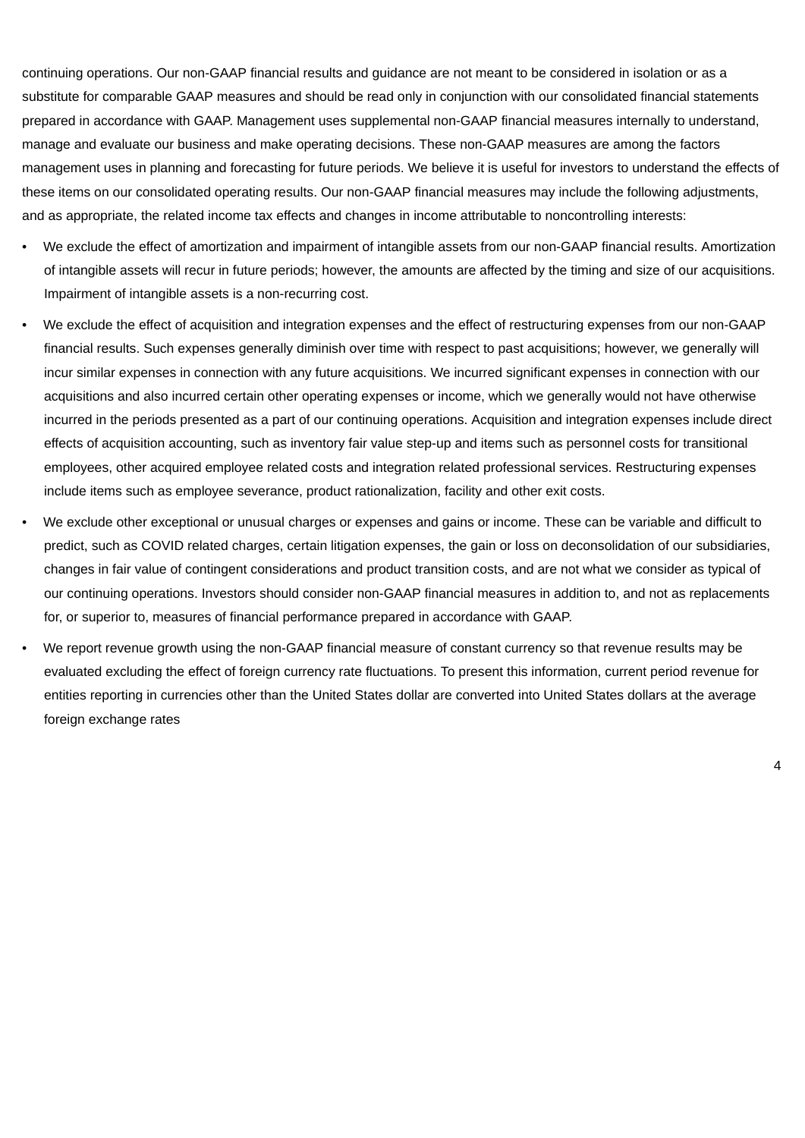continuing operations. Our non-GAAP financial results and guidance are not meant to be considered in isolation or as a substitute for comparable GAAP measures and should be read only in conjunction with our consolidated financial statements prepared in accordance with GAAP. Management uses supplemental non-GAAP financial measures internally to understand, manage and evaluate our business and make operating decisions. These non-GAAP measures are among the factors management uses in planning and forecasting for future periods. We believe it is useful for investors to understand the effects of these items on our consolidated operating results. Our non-GAAP financial measures may include the following adjustments, and as appropriate, the related income tax effects and changes in income attributable to noncontrolling interests:

- We exclude the effect of amortization and impairment of intangible assets from our non-GAAP financial results. Amortization of intangible assets will recur in future periods; however, the amounts are affected by the timing and size of our acquisitions. Impairment of intangible assets is a non-recurring cost.
- We exclude the effect of acquisition and integration expenses and the effect of restructuring expenses from our non-GAAP financial results. Such expenses generally diminish over time with respect to past acquisitions; however, we generally will incur similar expenses in connection with any future acquisitions. We incurred significant expenses in connection with our acquisitions and also incurred certain other operating expenses or income, which we generally would not have otherwise incurred in the periods presented as a part of our continuing operations. Acquisition and integration expenses include direct effects of acquisition accounting, such as inventory fair value step-up and items such as personnel costs for transitional employees, other acquired employee related costs and integration related professional services. Restructuring expenses include items such as employee severance, product rationalization, facility and other exit costs.
- We exclude other exceptional or unusual charges or expenses and gains or income. These can be variable and difficult to predict, such as COVID related charges, certain litigation expenses, the gain or loss on deconsolidation of our subsidiaries, changes in fair value of contingent considerations and product transition costs, and are not what we consider as typical of our continuing operations. Investors should consider non-GAAP financial measures in addition to, and not as replacements for, or superior to, measures of financial performance prepared in accordance with GAAP.
- We report revenue growth using the non-GAAP financial measure of constant currency so that revenue results may be evaluated excluding the effect of foreign currency rate fluctuations. To present this information, current period revenue for entities reporting in currencies other than the United States dollar are converted into United States dollars at the average foreign exchange rates

 $\Delta$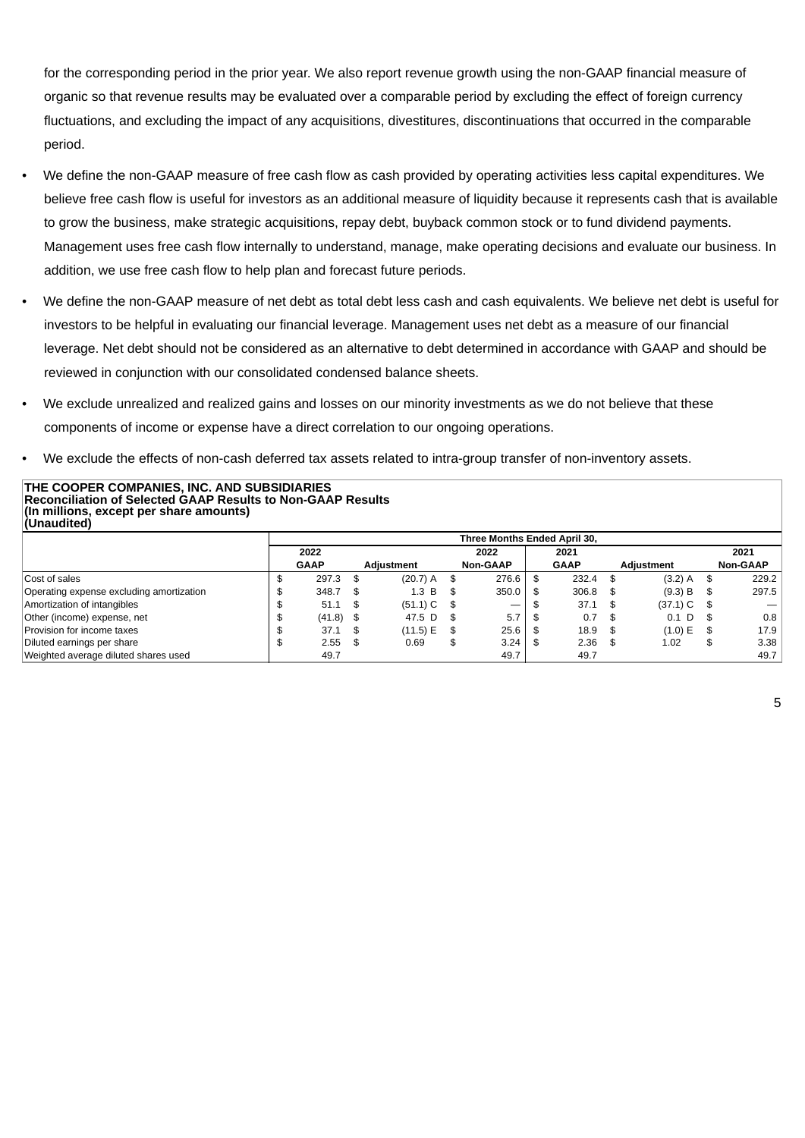for the corresponding period in the prior year. We also report revenue growth using the non-GAAP financial measure of organic so that revenue results may be evaluated over a comparable period by excluding the effect of foreign currency fluctuations, and excluding the impact of any acquisitions, divestitures, discontinuations that occurred in the comparable period.

- We define the non-GAAP measure of free cash flow as cash provided by operating activities less capital expenditures. We believe free cash flow is useful for investors as an additional measure of liquidity because it represents cash that is available to grow the business, make strategic acquisitions, repay debt, buyback common stock or to fund dividend payments. Management uses free cash flow internally to understand, manage, make operating decisions and evaluate our business. In addition, we use free cash flow to help plan and forecast future periods.
- We define the non-GAAP measure of net debt as total debt less cash and cash equivalents. We believe net debt is useful for investors to be helpful in evaluating our financial leverage. Management uses net debt as a measure of our financial leverage. Net debt should not be considered as an alternative to debt determined in accordance with GAAP and should be reviewed in conjunction with our consolidated condensed balance sheets.
- We exclude unrealized and realized gains and losses on our minority investments as we do not believe that these components of income or expense have a direct correlation to our ongoing operations.
- We exclude the effects of non-cash deferred tax assets related to intra-group transfer of non-inventory assets.

| THE COOPER COMPANIES, INC. AND SUBSIDIARIES<br><b>Reconciliation of Selected GAAP Results to Non-GAAP Results</b><br>(In millions, except per share amounts)<br>(Unaudited) |    |             |              |                   |    |                              |    |             |      |                   |                 |       |
|-----------------------------------------------------------------------------------------------------------------------------------------------------------------------------|----|-------------|--------------|-------------------|----|------------------------------|----|-------------|------|-------------------|-----------------|-------|
|                                                                                                                                                                             |    |             |              |                   |    | Three Months Ended April 30, |    |             |      |                   |                 |       |
|                                                                                                                                                                             |    | 2022        |              |                   |    | 2022                         |    | 2021        |      |                   |                 | 2021  |
|                                                                                                                                                                             |    | <b>GAAP</b> |              | <b>Adiustment</b> |    | <b>Non-GAAP</b>              |    | <b>GAAP</b> |      | <b>Adiustment</b> | <b>Non-GAAP</b> |       |
| Cost of sales                                                                                                                                                               | \$ | 297.3       | -\$          | (20.7) A          | \$ | 276.6                        | \$ | 232.4       | \$   | $(3.2)$ A         | \$              | 229.2 |
| Operating expense excluding amortization                                                                                                                                    | \$ | 348.7       | $\mathbb{S}$ | 1.3 B             | \$ | 350.0                        | \$ | $306.8$ \$  |      | (9.3) B           | \$              | 297.5 |
| Amortization of intangibles                                                                                                                                                 | \$ | 51.1        | - \$         | $(51.1)$ C        | \$ | –                            |    | $37.1$ \$   |      | $(37.1)$ C        | \$              |       |
| Other (income) expense, net                                                                                                                                                 | \$ | $(41.8)$ \$ |              | 47.5 D            | \$ | 5.7                          | \$ | 0.7         | - \$ | $0.1\,$ D         | \$              | 0.8   |
| Provision for income taxes                                                                                                                                                  | \$ | $37.1$ \$   |              | (11.5) E          | \$ | 25.6                         | \$ | 18.9 \$     |      | (1.0) E           | \$              | 17.9  |
| Diluted earnings per share                                                                                                                                                  | \$ | 2.55        | <b>S</b>     | 0.69              | \$ | 3.24                         | \$ | $2.36$ \$   |      | 1.02              | \$              | 3.38  |
| Weighted average diluted shares used                                                                                                                                        |    | 49.7        |              |                   |    | 49.7                         |    | 49.7        |      |                   |                 | 49.7  |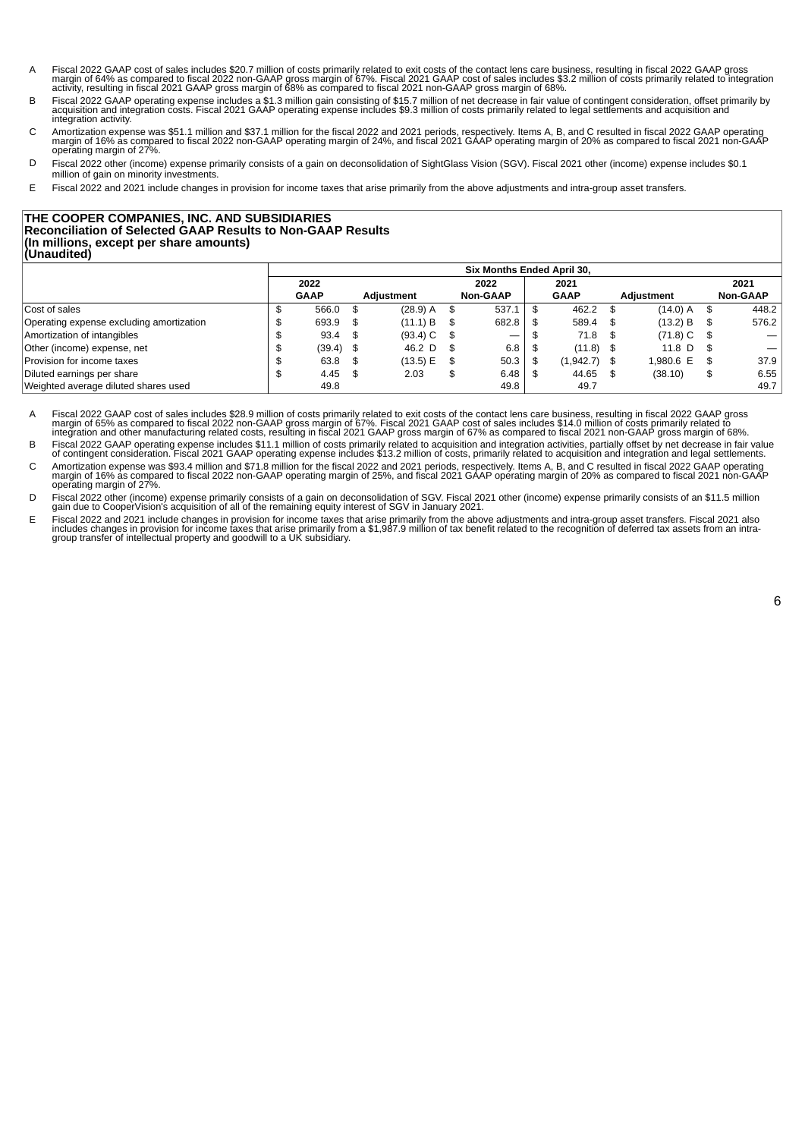- A Fiscal 2022 GAAP cost of sales includes \$20.7 million of costs primarily related to exit costs of the contact lens care business, resulting in fiscal 2022 GAAP gross<br>margin of 64% as compared to fiscal 2021 and David Sal
- B Fiscal 2022 GAAP operating expense includes a \$1.3 million gain consisting of \$15.7 million of net decrease in fair value of contingent consideration, offset primarily by<br>acquisition and integration costs. Fiscal 2021 GA integration activity.
- C Amortization expense was \$51.1 million and \$37.1 million for the fiscal 2022 and 2021 periods, respectively. Items A, B, and C resulted in fiscal 2022 GAAP operating<br>margin of 16% as compared to fiscal 2022 non-GAAP oper
- D Fiscal 2022 other (income) expense primarily consists of a gain on deconsolidation of SightGlass Vision (SGV). Fiscal 2021 other (income) expense includes \$0.1 million of gain on minority investments.
- E Fiscal 2022 and 2021 include changes in provision for income taxes that arise primarily from the above adjustments and intra-group asset transfers.

#### **THE COOPER COMPANIES, INC. AND SUBSIDIARIES Reconciliation of Selected GAAP Results to Non-GAAP Results (In millions, except per share amounts) (Unaudited)**

|                                          |    | Six Months Ended April 30, |  |                   |     |                                 |      |                |    |               |      |                                 |
|------------------------------------------|----|----------------------------|--|-------------------|-----|---------------------------------|------|----------------|----|---------------|------|---------------------------------|
|                                          |    | 2022                       |  |                   |     | 2022                            |      | 2021           |    |               |      | 2021                            |
|                                          |    | <b>GAAP</b>                |  | <b>Adiustment</b> |     | <b>Non-GAAP</b>                 |      | <b>GAAP</b>    |    | Adjustment    |      | <b>Non-GAAP</b>                 |
| Cost of sales                            | ъ  | 566.0 \$                   |  | $(28.9)$ A        | \$  | 537.1                           | "\$  | 462.2 \$       |    | $(14.0)$ A    | - \$ | 448.2                           |
| Operating expense excluding amortization | \$ | 693.9 \$                   |  | (11.1) B          | \$  | 682.8                           | - \$ | 589.4 \$       |    | (13.2) B      | - \$ | 576.2                           |
| Amortization of intangibles              | จ  | $93.4$ \$                  |  | $(93.4)$ C \$     |     | $\hspace{0.1mm}-\hspace{0.1mm}$ | - 35 | 71.8 \$        |    | $(71.8)$ C \$ |      |                                 |
| Other (income) expense, net              | \$ | $(39.4)$ \$                |  | 46.2 D            | -\$ | 6.8                             | - \$ | $(11.8)$ \$    |    | $11.8$ D \$   |      | $\hspace{0.1mm}-\hspace{0.1mm}$ |
| Provision for income taxes               | ъ  | 63.8 \$                    |  | (13.5) E          | -\$ | 50.3                            | -\$  | $(1,942.7)$ \$ |    | 1,980.6 E \$  |      | 37.9                            |
| Diluted earnings per share               | \$ | $4.45$ \$                  |  | 2.03              | \$  | 6.48                            | - \$ | 44.65          | \$ | (38.10)       | \$   | 6.55                            |
| Weighted average diluted shares used     |    | 49.8                       |  |                   |     | 49.8                            |      | 49.7           |    |               |      | 49.7                            |

A Fiscal 2022 GAAP cost of sales includes \$28.9 million of costs primarily related to exit costs of the contact lens care business, resulting in fiscal 2022 GAAP gross<br>margin of 65% as compared to fiscal 2022 non-GAAP gros

B Fiscal 2022 GAAP operating expense includes \$11.1 million of costs primarily related to acquisition and integration activities, partially offset by net decrease in fair value<br>of contingent consideration. Fiscal 2021 GAAP

C Amortization expense was \$93.4 million and \$71.8 million for the fiscal 2022 and 2021 periods, respectively. Items A, B, and C resulted in fiscal 2022 GAAP operating<br>margin of 16% as compared to fiscal 2022 non-GAAP oper

D Fiscal 2022 other (income) expense primarily consists of a gain on deconsolidation of SGV. Fiscal 2021 other (income) expense primarily consists of an \$11.5 million<br>gain due to CooperVision's acquisition of all of the re

Fiscal 2022 and 2021 include changes in provision for income taxes that arise primarily from the above adjustments and intra-group asset transfers. Fiscal 2021 also<br>- includes changes in provision for income taxes that ari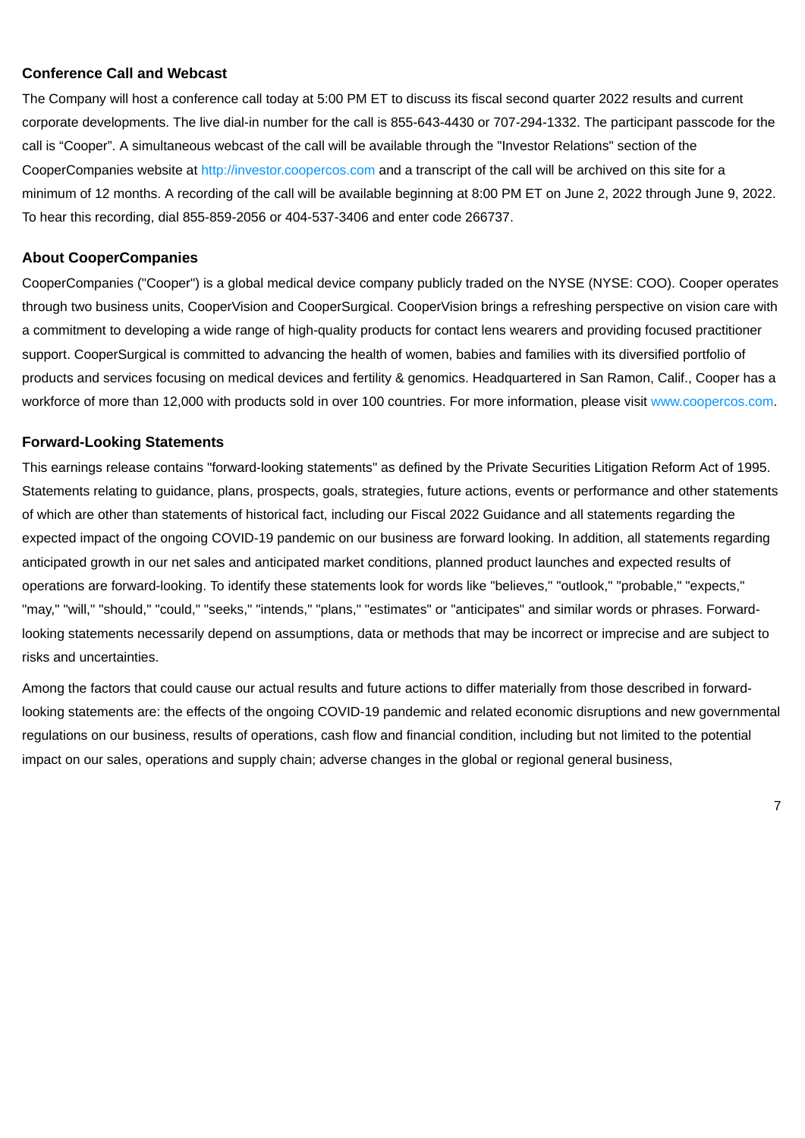# **Conference Call and Webcast**

The Company will host a conference call today at 5:00 PM ET to discuss its fiscal second quarter 2022 results and current corporate developments. The live dial-in number for the call is 855-643-4430 or 707-294-1332. The participant passcode for the call is "Cooper". A simultaneous webcast of the call will be available through the "Investor Relations" section of the CooperCompanies website at http://investor.coopercos.com and a transcript of the call will be archived on this site for a minimum of 12 months. A recording of the call will be available beginning at 8:00 PM ET on June 2, 2022 through June 9, 2022. To hear this recording, dial 855-859-2056 or 404-537-3406 and enter code 266737.

# **About CooperCompanies**

CooperCompanies ("Cooper") is a global medical device company publicly traded on the NYSE (NYSE: COO). Cooper operates through two business units, CooperVision and CooperSurgical. CooperVision brings a refreshing perspective on vision care with a commitment to developing a wide range of high-quality products for contact lens wearers and providing focused practitioner support. CooperSurgical is committed to advancing the health of women, babies and families with its diversified portfolio of products and services focusing on medical devices and fertility & genomics. Headquartered in San Ramon, Calif., Cooper has a workforce of more than 12,000 with products sold in over 100 countries. For more information, please visit www.coopercos.com.

### **Forward-Looking Statements**

This earnings release contains "forward-looking statements" as defined by the Private Securities Litigation Reform Act of 1995. Statements relating to guidance, plans, prospects, goals, strategies, future actions, events or performance and other statements of which are other than statements of historical fact, including our Fiscal 2022 Guidance and all statements regarding the expected impact of the ongoing COVID-19 pandemic on our business are forward looking. In addition, all statements regarding anticipated growth in our net sales and anticipated market conditions, planned product launches and expected results of operations are forward-looking. To identify these statements look for words like "believes," "outlook," "probable," "expects," "may," "will," "should," "could," "seeks," "intends," "plans," "estimates" or "anticipates" and similar words or phrases. Forwardlooking statements necessarily depend on assumptions, data or methods that may be incorrect or imprecise and are subject to risks and uncertainties.

Among the factors that could cause our actual results and future actions to differ materially from those described in forwardlooking statements are: the effects of the ongoing COVID-19 pandemic and related economic disruptions and new governmental regulations on our business, results of operations, cash flow and financial condition, including but not limited to the potential impact on our sales, operations and supply chain; adverse changes in the global or regional general business,

7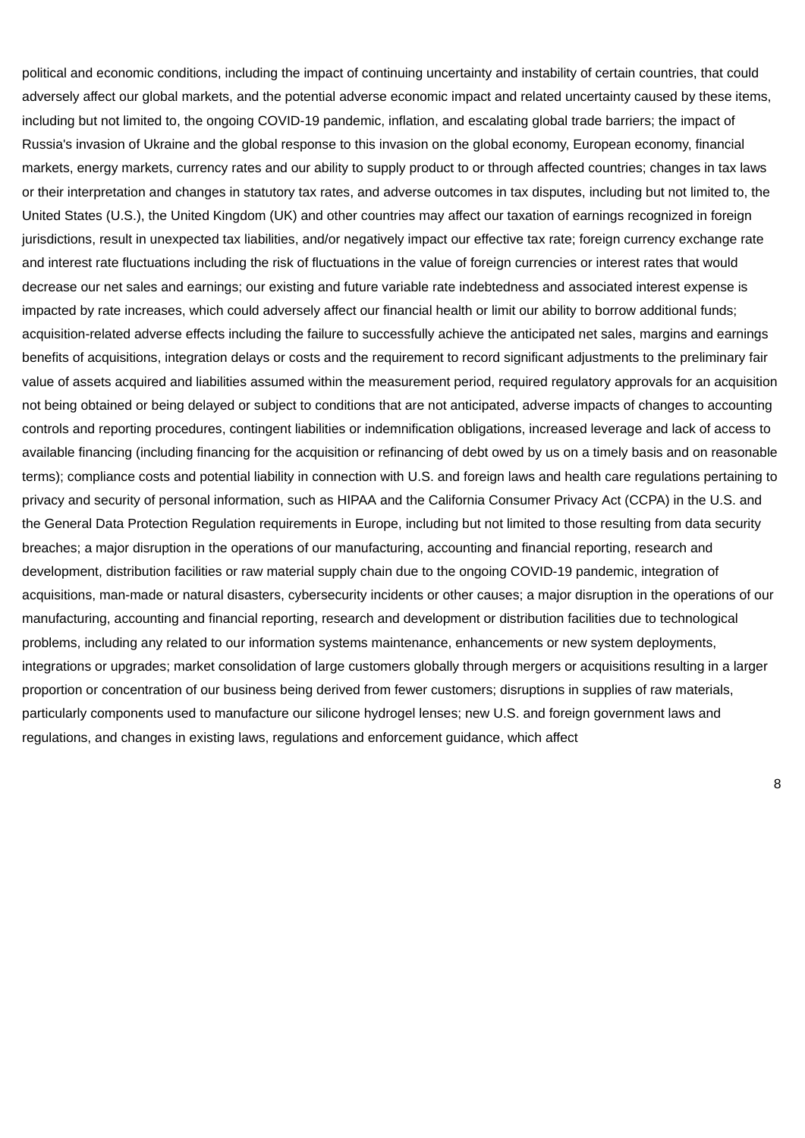political and economic conditions, including the impact of continuing uncertainty and instability of certain countries, that could adversely affect our global markets, and the potential adverse economic impact and related uncertainty caused by these items, including but not limited to, the ongoing COVID-19 pandemic, inflation, and escalating global trade barriers; the impact of Russia's invasion of Ukraine and the global response to this invasion on the global economy, European economy, financial markets, energy markets, currency rates and our ability to supply product to or through affected countries; changes in tax laws or their interpretation and changes in statutory tax rates, and adverse outcomes in tax disputes, including but not limited to, the United States (U.S.), the United Kingdom (UK) and other countries may affect our taxation of earnings recognized in foreign jurisdictions, result in unexpected tax liabilities, and/or negatively impact our effective tax rate; foreign currency exchange rate and interest rate fluctuations including the risk of fluctuations in the value of foreign currencies or interest rates that would decrease our net sales and earnings; our existing and future variable rate indebtedness and associated interest expense is impacted by rate increases, which could adversely affect our financial health or limit our ability to borrow additional funds; acquisition-related adverse effects including the failure to successfully achieve the anticipated net sales, margins and earnings benefits of acquisitions, integration delays or costs and the requirement to record significant adjustments to the preliminary fair value of assets acquired and liabilities assumed within the measurement period, required regulatory approvals for an acquisition not being obtained or being delayed or subject to conditions that are not anticipated, adverse impacts of changes to accounting controls and reporting procedures, contingent liabilities or indemnification obligations, increased leverage and lack of access to available financing (including financing for the acquisition or refinancing of debt owed by us on a timely basis and on reasonable terms); compliance costs and potential liability in connection with U.S. and foreign laws and health care regulations pertaining to privacy and security of personal information, such as HIPAA and the California Consumer Privacy Act (CCPA) in the U.S. and the General Data Protection Regulation requirements in Europe, including but not limited to those resulting from data security breaches; a major disruption in the operations of our manufacturing, accounting and financial reporting, research and development, distribution facilities or raw material supply chain due to the ongoing COVID-19 pandemic, integration of acquisitions, man-made or natural disasters, cybersecurity incidents or other causes; a major disruption in the operations of our manufacturing, accounting and financial reporting, research and development or distribution facilities due to technological problems, including any related to our information systems maintenance, enhancements or new system deployments, integrations or upgrades; market consolidation of large customers globally through mergers or acquisitions resulting in a larger proportion or concentration of our business being derived from fewer customers; disruptions in supplies of raw materials, particularly components used to manufacture our silicone hydrogel lenses; new U.S. and foreign government laws and regulations, and changes in existing laws, regulations and enforcement guidance, which affect

8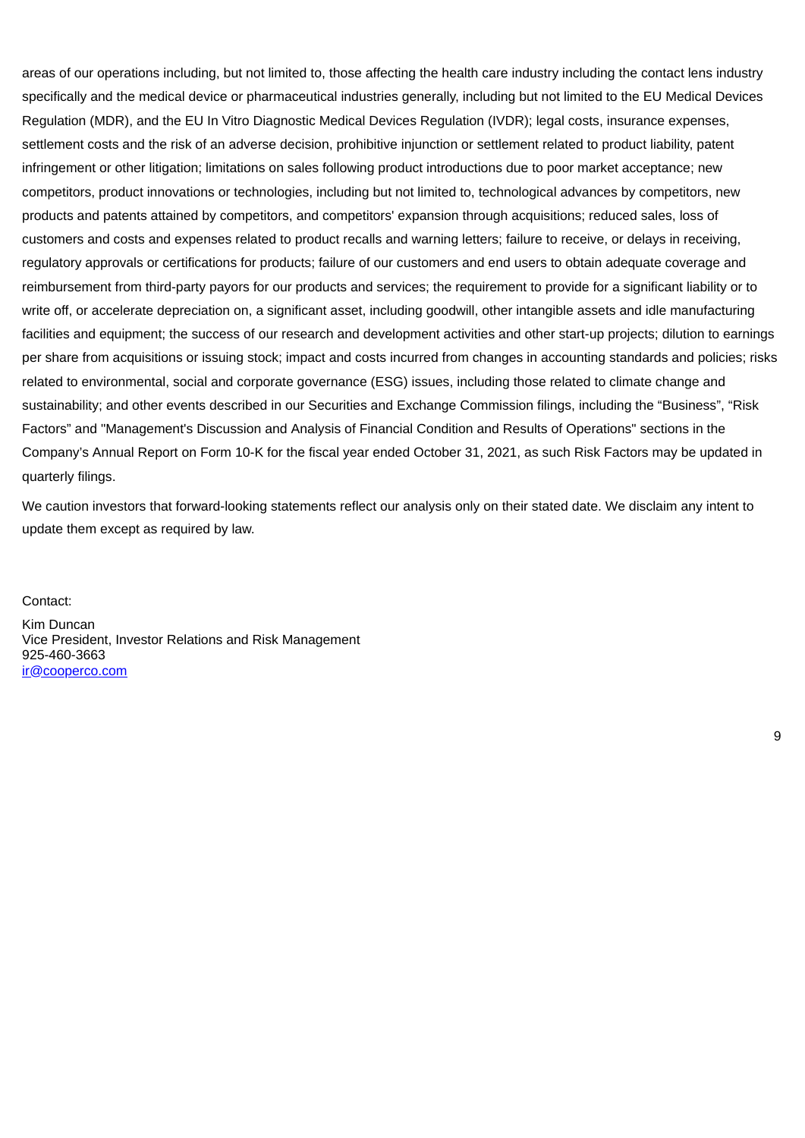areas of our operations including, but not limited to, those affecting the health care industry including the contact lens industry specifically and the medical device or pharmaceutical industries generally, including but not limited to the EU Medical Devices Regulation (MDR), and the EU In Vitro Diagnostic Medical Devices Regulation (IVDR); legal costs, insurance expenses, settlement costs and the risk of an adverse decision, prohibitive injunction or settlement related to product liability, patent infringement or other litigation; limitations on sales following product introductions due to poor market acceptance; new competitors, product innovations or technologies, including but not limited to, technological advances by competitors, new products and patents attained by competitors, and competitors' expansion through acquisitions; reduced sales, loss of customers and costs and expenses related to product recalls and warning letters; failure to receive, or delays in receiving, regulatory approvals or certifications for products; failure of our customers and end users to obtain adequate coverage and reimbursement from third-party payors for our products and services; the requirement to provide for a significant liability or to write off, or accelerate depreciation on, a significant asset, including goodwill, other intangible assets and idle manufacturing facilities and equipment; the success of our research and development activities and other start-up projects; dilution to earnings per share from acquisitions or issuing stock; impact and costs incurred from changes in accounting standards and policies; risks related to environmental, social and corporate governance (ESG) issues, including those related to climate change and sustainability; and other events described in our Securities and Exchange Commission filings, including the "Business", "Risk Factors" and "Management's Discussion and Analysis of Financial Condition and Results of Operations" sections in the Company's Annual Report on Form 10-K for the fiscal year ended October 31, 2021, as such Risk Factors may be updated in quarterly filings.

We caution investors that forward-looking statements reflect our analysis only on their stated date. We disclaim any intent to update them except as required by law.

Contact:

Kim Duncan Vice President, Investor Relations and Risk Management 925-460-3663 ir@cooperco.com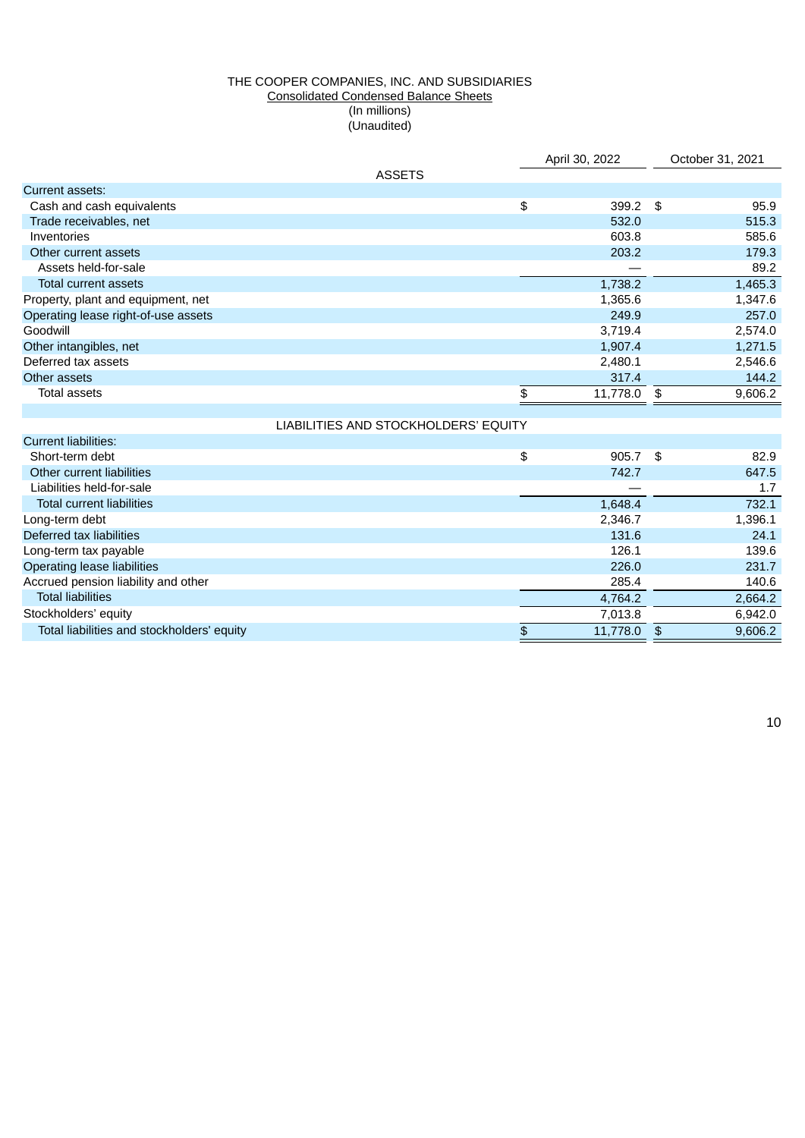# THE COOPER COMPANIES, INC. AND SUBSIDIARIES Consolidated Condensed Balance Sheets (In millions) (Unaudited)

|                                            |                                      | April 30, 2022 |          | October 31, 2021 |
|--------------------------------------------|--------------------------------------|----------------|----------|------------------|
|                                            | <b>ASSETS</b>                        |                |          |                  |
| <b>Current assets:</b>                     |                                      |                |          |                  |
| Cash and cash equivalents                  |                                      | \$             | 399.2    | \$<br>95.9       |
| Trade receivables, net                     |                                      |                | 532.0    | 515.3            |
| Inventories                                |                                      |                | 603.8    | 585.6            |
| Other current assets                       |                                      |                | 203.2    | 179.3            |
| Assets held-for-sale                       |                                      |                |          | 89.2             |
| <b>Total current assets</b>                |                                      |                | 1,738.2  | 1,465.3          |
| Property, plant and equipment, net         |                                      |                | 1,365.6  | 1,347.6          |
| Operating lease right-of-use assets        |                                      |                | 249.9    | 257.0            |
| Goodwill                                   |                                      |                | 3,719.4  | 2,574.0          |
| Other intangibles, net                     |                                      |                | 1,907.4  | 1,271.5          |
| Deferred tax assets                        |                                      |                | 2,480.1  | 2,546.6          |
| Other assets                               |                                      |                | 317.4    | 144.2            |
| <b>Total assets</b>                        |                                      | \$             | 11,778.0 | \$<br>9,606.2    |
|                                            |                                      |                |          |                  |
|                                            | LIABILITIES AND STOCKHOLDERS' EQUITY |                |          |                  |
| <b>Current liabilities:</b>                |                                      |                |          |                  |
| Short-term debt                            |                                      | \$             | 905.7    | \$<br>82.9       |
| Other current liabilities                  |                                      |                | 742.7    | 647.5            |
| Liabilities held-for-sale                  |                                      |                |          | 1.7              |
| <b>Total current liabilities</b>           |                                      |                | 1,648.4  | 732.1            |
| Long-term debt                             |                                      |                | 2,346.7  | 1,396.1          |
| Deferred tax liabilities                   |                                      |                | 131.6    | 24.1             |
| Long-term tax payable                      |                                      |                | 126.1    | 139.6            |
| Operating lease liabilities                |                                      |                | 226.0    | 231.7            |
| Accrued pension liability and other        |                                      |                | 285.4    | 140.6            |
| <b>Total liabilities</b>                   |                                      |                | 4,764.2  | 2,664.2          |
| Stockholders' equity                       |                                      |                | 7,013.8  | 6,942.0          |
| Total liabilities and stockholders' equity |                                      | \$             | 11,778.0 | \$<br>9,606.2    |